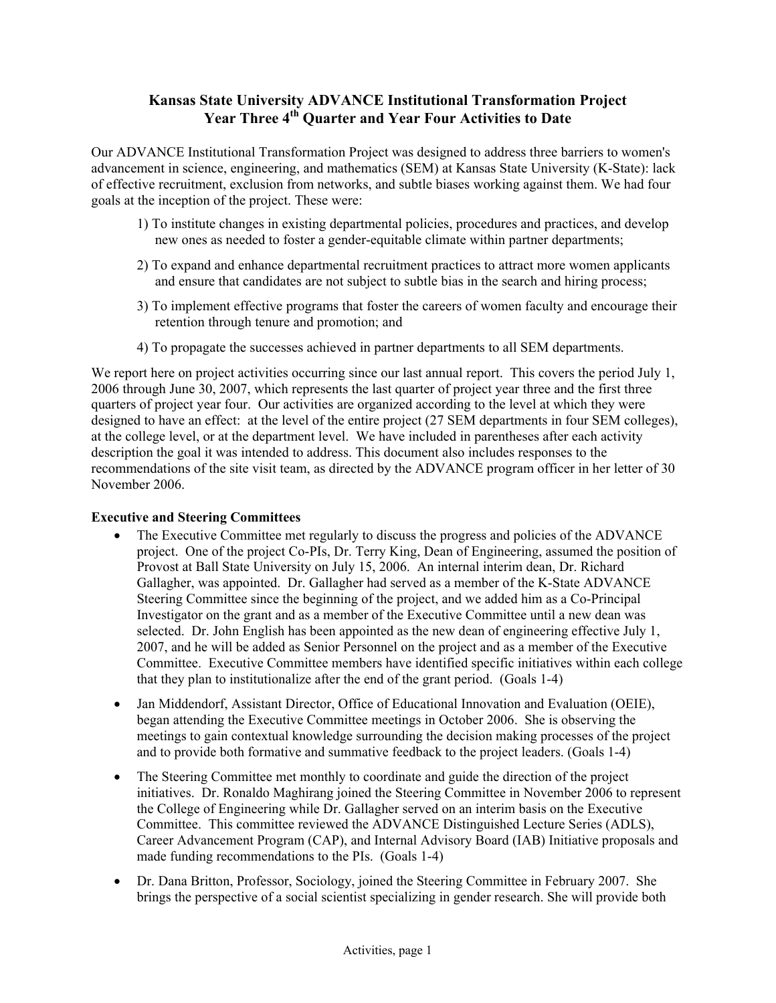# **Kansas State University ADVANCE Institutional Transformation Project**  Year Three 4<sup>th</sup> Quarter and Year Four Activities to Date

Our ADVANCE Institutional Transformation Project was designed to address three barriers to women's advancement in science, engineering, and mathematics (SEM) at Kansas State University (K-State): lack of effective recruitment, exclusion from networks, and subtle biases working against them. We had four goals at the inception of the project. These were:

- 1) To institute changes in existing departmental policies, procedures and practices, and develop new ones as needed to foster a gender-equitable climate within partner departments;
- 2) To expand and enhance departmental recruitment practices to attract more women applicants and ensure that candidates are not subject to subtle bias in the search and hiring process;
- 3) To implement effective programs that foster the careers of women faculty and encourage their retention through tenure and promotion; and
- 4) To propagate the successes achieved in partner departments to all SEM departments.

We report here on project activities occurring since our last annual report. This covers the period July 1, 2006 through June 30, 2007, which represents the last quarter of project year three and the first three quarters of project year four. Our activities are organized according to the level at which they were designed to have an effect: at the level of the entire project (27 SEM departments in four SEM colleges), at the college level, or at the department level. We have included in parentheses after each activity description the goal it was intended to address. This document also includes responses to the recommendations of the site visit team, as directed by the ADVANCE program officer in her letter of 30 November 2006.

### **Executive and Steering Committees**

- The Executive Committee met regularly to discuss the progress and policies of the ADVANCE project. One of the project Co-PIs, Dr. Terry King, Dean of Engineering, assumed the position of Provost at Ball State University on July 15, 2006. An internal interim dean, Dr. Richard Gallagher, was appointed. Dr. Gallagher had served as a member of the K-State ADVANCE Steering Committee since the beginning of the project, and we added him as a Co-Principal Investigator on the grant and as a member of the Executive Committee until a new dean was selected. Dr. John English has been appointed as the new dean of engineering effective July 1, 2007, and he will be added as Senior Personnel on the project and as a member of the Executive Committee. Executive Committee members have identified specific initiatives within each college that they plan to institutionalize after the end of the grant period. (Goals 1-4)
- Jan Middendorf, Assistant Director, Office of Educational Innovation and Evaluation (OEIE), began attending the Executive Committee meetings in October 2006. She is observing the meetings to gain contextual knowledge surrounding the decision making processes of the project and to provide both formative and summative feedback to the project leaders. (Goals 1-4)
- The Steering Committee met monthly to coordinate and guide the direction of the project initiatives. Dr. Ronaldo Maghirang joined the Steering Committee in November 2006 to represent the College of Engineering while Dr. Gallagher served on an interim basis on the Executive Committee. This committee reviewed the ADVANCE Distinguished Lecture Series (ADLS), Career Advancement Program (CAP), and Internal Advisory Board (IAB) Initiative proposals and made funding recommendations to the PIs. (Goals 1-4)
- Dr. Dana Britton, Professor, Sociology, joined the Steering Committee in February 2007. She brings the perspective of a social scientist specializing in gender research. She will provide both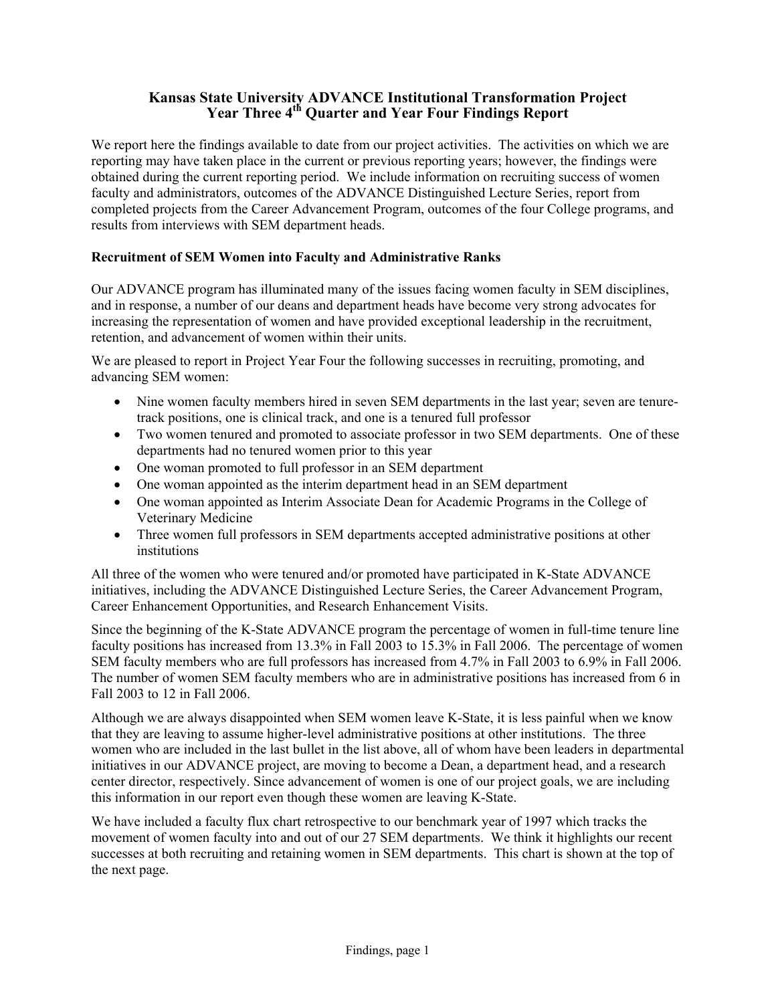## **Kansas State University ADVANCE Institutional Transformation Project**  Year Three 4<sup>th</sup> Ouarter and Year Four Findings Report

We report here the findings available to date from our project activities. The activities on which we are reporting may have taken place in the current or previous reporting years; however, the findings were obtained during the current reporting period. We include information on recruiting success of women faculty and administrators, outcomes of the ADVANCE Distinguished Lecture Series, report from completed projects from the Career Advancement Program, outcomes of the four College programs, and results from interviews with SEM department heads.

### **Recruitment of SEM Women into Faculty and Administrative Ranks**

Our ADVANCE program has illuminated many of the issues facing women faculty in SEM disciplines, and in response, a number of our deans and department heads have become very strong advocates for increasing the representation of women and have provided exceptional leadership in the recruitment, retention, and advancement of women within their units.

We are pleased to report in Project Year Four the following successes in recruiting, promoting, and advancing SEM women:

- Nine women faculty members hired in seven SEM departments in the last year; seven are tenuretrack positions, one is clinical track, and one is a tenured full professor
- Two women tenured and promoted to associate professor in two SEM departments. One of these departments had no tenured women prior to this year
- One woman promoted to full professor in an SEM department
- One woman appointed as the interim department head in an SEM department
- One woman appointed as Interim Associate Dean for Academic Programs in the College of Veterinary Medicine
- Three women full professors in SEM departments accepted administrative positions at other institutions

All three of the women who were tenured and/or promoted have participated in K-State ADVANCE initiatives, including the ADVANCE Distinguished Lecture Series, the Career Advancement Program, Career Enhancement Opportunities, and Research Enhancement Visits.

Since the beginning of the K-State ADVANCE program the percentage of women in full-time tenure line faculty positions has increased from 13.3% in Fall 2003 to 15.3% in Fall 2006. The percentage of women SEM faculty members who are full professors has increased from 4.7% in Fall 2003 to 6.9% in Fall 2006. The number of women SEM faculty members who are in administrative positions has increased from 6 in Fall 2003 to 12 in Fall 2006.

Although we are always disappointed when SEM women leave K-State, it is less painful when we know that they are leaving to assume higher-level administrative positions at other institutions. The three women who are included in the last bullet in the list above, all of whom have been leaders in departmental initiatives in our ADVANCE project, are moving to become a Dean, a department head, and a research center director, respectively. Since advancement of women is one of our project goals, we are including this information in our report even though these women are leaving K-State.

We have included a faculty flux chart retrospective to our benchmark year of 1997 which tracks the movement of women faculty into and out of our 27 SEM departments. We think it highlights our recent successes at both recruiting and retaining women in SEM departments. This chart is shown at the top of the next page.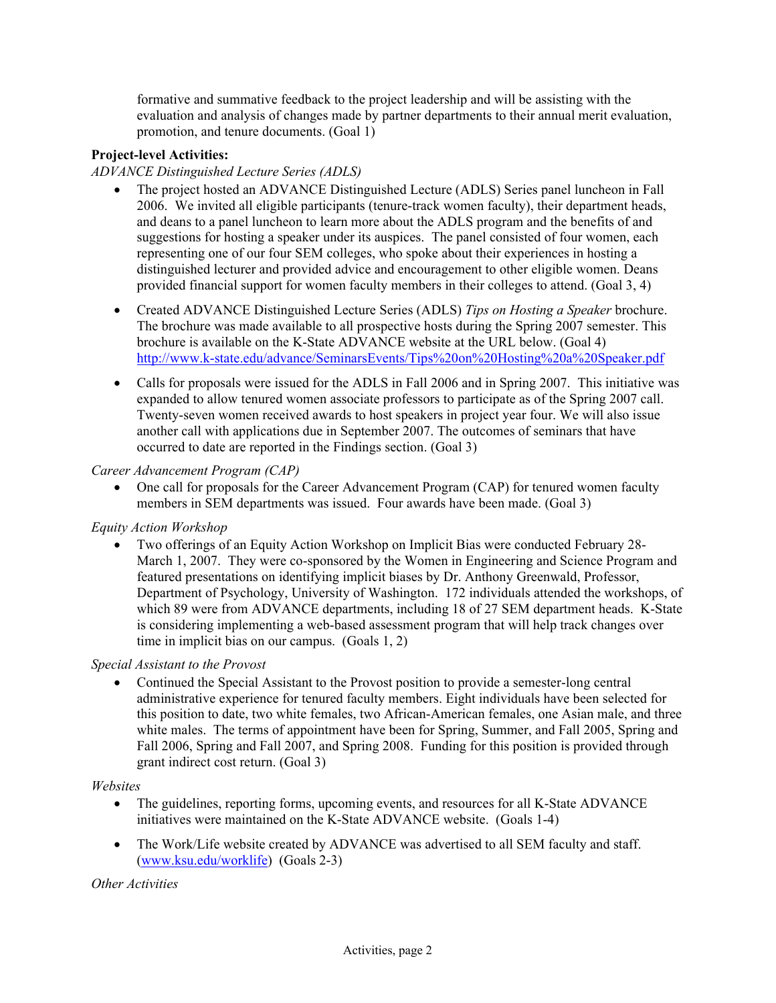formative and summative feedback to the project leadership and will be assisting with the evaluation and analysis of changes made by partner departments to their annual merit evaluation, promotion, and tenure documents. (Goal 1)

### **Project-level Activities:**

### *ADVANCE Distinguished Lecture Series (ADLS)*

- The project hosted an ADVANCE Distinguished Lecture (ADLS) Series panel luncheon in Fall 2006. We invited all eligible participants (tenure-track women faculty), their department heads, and deans to a panel luncheon to learn more about the ADLS program and the benefits of and suggestions for hosting a speaker under its auspices. The panel consisted of four women, each representing one of our four SEM colleges, who spoke about their experiences in hosting a distinguished lecturer and provided advice and encouragement to other eligible women. Deans provided financial support for women faculty members in their colleges to attend. (Goal 3, 4)
- Created ADVANCE Distinguished Lecture Series (ADLS) *Tips on Hosting a Speaker* brochure. The brochure was made available to all prospective hosts during the Spring 2007 semester. This brochure is available on the K-State ADVANCE website at the URL below. (Goal 4) <http://www.k-state.edu/advance/SeminarsEvents/Tips%20on%20Hosting%20a%20Speaker.pdf>
- Calls for proposals were issued for the ADLS in Fall 2006 and in Spring 2007. This initiative was expanded to allow tenured women associate professors to participate as of the Spring 2007 call. Twenty-seven women received awards to host speakers in project year four. We will also issue another call with applications due in September 2007. The outcomes of seminars that have occurred to date are reported in the Findings section. (Goal 3)

### *Career Advancement Program (CAP)*

• One call for proposals for the Career Advancement Program (CAP) for tenured women faculty members in SEM departments was issued. Four awards have been made. (Goal 3)

### *Equity Action Workshop*

• Two offerings of an Equity Action Workshop on Implicit Bias were conducted February 28- March 1, 2007. They were co-sponsored by the Women in Engineering and Science Program and featured presentations on identifying implicit biases by Dr. Anthony Greenwald, Professor, Department of Psychology, University of Washington. 172 individuals attended the workshops, of which 89 were from ADVANCE departments, including 18 of 27 SEM department heads. K-State is considering implementing a web-based assessment program that will help track changes over time in implicit bias on our campus. (Goals 1, 2)

### *Special Assistant to the Provost*

• Continued the Special Assistant to the Provost position to provide a semester-long central administrative experience for tenured faculty members. Eight individuals have been selected for this position to date, two white females, two African-American females, one Asian male, and three white males. The terms of appointment have been for Spring, Summer, and Fall 2005, Spring and Fall 2006, Spring and Fall 2007, and Spring 2008. Funding for this position is provided through grant indirect cost return. (Goal 3)

### *Websites*

- The guidelines, reporting forms, upcoming events, and resources for all K-State ADVANCE initiatives were maintained on the K-State ADVANCE website. (Goals 1-4)
- The Work/Life website created by ADVANCE was advertised to all SEM faculty and staff. ([www.ksu.edu/worklife](http://www.ksu.edu/worklife)) (Goals 2-3)

### *Other Activities*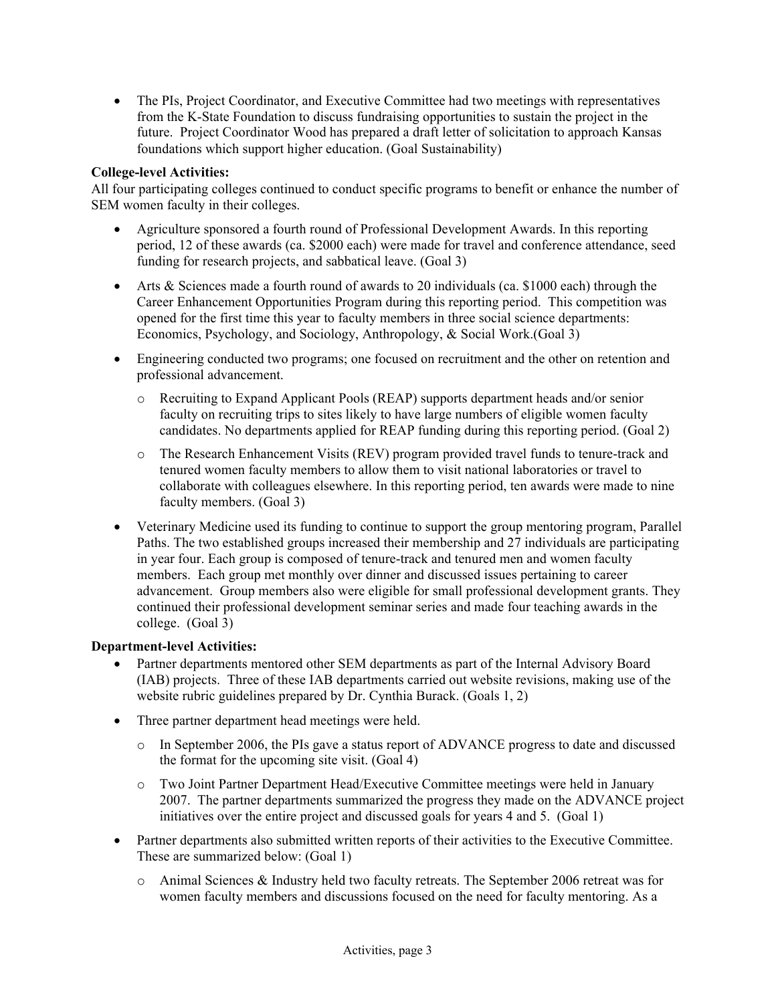• The PIs, Project Coordinator, and Executive Committee had two meetings with representatives from the K-State Foundation to discuss fundraising opportunities to sustain the project in the future. Project Coordinator Wood has prepared a draft letter of solicitation to approach Kansas foundations which support higher education. (Goal Sustainability)

### **College-level Activities:**

All four participating colleges continued to conduct specific programs to benefit or enhance the number of SEM women faculty in their colleges.

- Agriculture sponsored a fourth round of Professional Development Awards. In this reporting period, 12 of these awards (ca. \$2000 each) were made for travel and conference attendance, seed funding for research projects, and sabbatical leave. (Goal 3)
- Arts & Sciences made a fourth round of awards to 20 individuals (ca. \$1000 each) through the Career Enhancement Opportunities Program during this reporting period. This competition was opened for the first time this year to faculty members in three social science departments: Economics, Psychology, and Sociology, Anthropology, & Social Work.(Goal 3)
- Engineering conducted two programs; one focused on recruitment and the other on retention and professional advancement.
	- o Recruiting to Expand Applicant Pools (REAP) supports department heads and/or senior faculty on recruiting trips to sites likely to have large numbers of eligible women faculty candidates. No departments applied for REAP funding during this reporting period. (Goal 2)
	- o The Research Enhancement Visits (REV) program provided travel funds to tenure-track and tenured women faculty members to allow them to visit national laboratories or travel to collaborate with colleagues elsewhere. In this reporting period, ten awards were made to nine faculty members. (Goal 3)
- Veterinary Medicine used its funding to continue to support the group mentoring program, Parallel Paths. The two established groups increased their membership and 27 individuals are participating in year four. Each group is composed of tenure-track and tenured men and women faculty members. Each group met monthly over dinner and discussed issues pertaining to career advancement. Group members also were eligible for small professional development grants. They continued their professional development seminar series and made four teaching awards in the college. (Goal 3)

### **Department-level Activities:**

- Partner departments mentored other SEM departments as part of the Internal Advisory Board (IAB) projects. Three of these IAB departments carried out website revisions, making use of the website rubric guidelines prepared by Dr. Cynthia Burack. (Goals 1, 2)
- Three partner department head meetings were held.
	- o In September 2006, the PIs gave a status report of ADVANCE progress to date and discussed the format for the upcoming site visit. (Goal 4)
	- o Two Joint Partner Department Head/Executive Committee meetings were held in January 2007. The partner departments summarized the progress they made on the ADVANCE project initiatives over the entire project and discussed goals for years 4 and 5. (Goal 1)
- Partner departments also submitted written reports of their activities to the Executive Committee. These are summarized below: (Goal 1)
	- o Animal Sciences & Industry held two faculty retreats. The September 2006 retreat was for women faculty members and discussions focused on the need for faculty mentoring. As a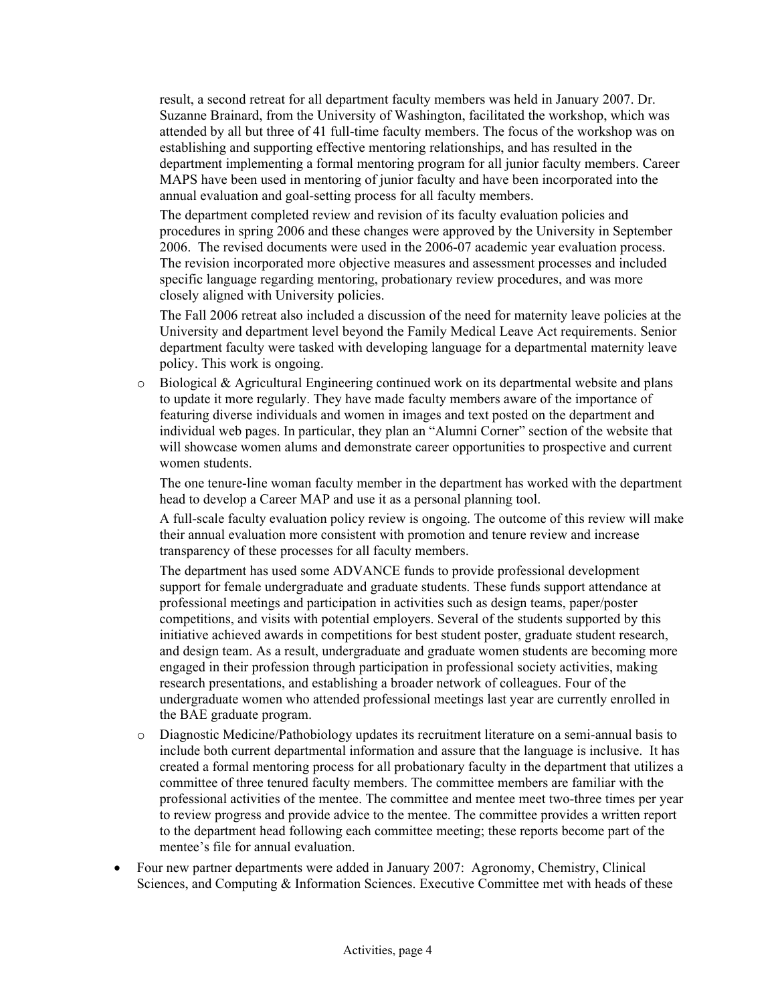result, a second retreat for all department faculty members was held in January 2007. Dr. Suzanne Brainard, from the University of Washington, facilitated the workshop, which was attended by all but three of 41 full-time faculty members. The focus of the workshop was on establishing and supporting effective mentoring relationships, and has resulted in the department implementing a formal mentoring program for all junior faculty members. Career MAPS have been used in mentoring of junior faculty and have been incorporated into the annual evaluation and goal-setting process for all faculty members.

The department completed review and revision of its faculty evaluation policies and procedures in spring 2006 and these changes were approved by the University in September 2006. The revised documents were used in the 2006-07 academic year evaluation process. The revision incorporated more objective measures and assessment processes and included specific language regarding mentoring, probationary review procedures, and was more closely aligned with University policies.

The Fall 2006 retreat also included a discussion of the need for maternity leave policies at the University and department level beyond the Family Medical Leave Act requirements. Senior department faculty were tasked with developing language for a departmental maternity leave policy. This work is ongoing.

o Biological & Agricultural Engineering continued work on its departmental website and plans to update it more regularly. They have made faculty members aware of the importance of featuring diverse individuals and women in images and text posted on the department and individual web pages. In particular, they plan an "Alumni Corner" section of the website that will showcase women alums and demonstrate career opportunities to prospective and current women students.

The one tenure-line woman faculty member in the department has worked with the department head to develop a Career MAP and use it as a personal planning tool.

A full-scale faculty evaluation policy review is ongoing. The outcome of this review will make their annual evaluation more consistent with promotion and tenure review and increase transparency of these processes for all faculty members.

The department has used some ADVANCE funds to provide professional development support for female undergraduate and graduate students. These funds support attendance at professional meetings and participation in activities such as design teams, paper/poster competitions, and visits with potential employers. Several of the students supported by this initiative achieved awards in competitions for best student poster, graduate student research, and design team. As a result, undergraduate and graduate women students are becoming more engaged in their profession through participation in professional society activities, making research presentations, and establishing a broader network of colleagues. Four of the undergraduate women who attended professional meetings last year are currently enrolled in the BAE graduate program.

- o Diagnostic Medicine/Pathobiology updates its recruitment literature on a semi-annual basis to include both current departmental information and assure that the language is inclusive. It has created a formal mentoring process for all probationary faculty in the department that utilizes a committee of three tenured faculty members. The committee members are familiar with the professional activities of the mentee. The committee and mentee meet two-three times per year to review progress and provide advice to the mentee. The committee provides a written report to the department head following each committee meeting; these reports become part of the mentee's file for annual evaluation.
- Four new partner departments were added in January 2007: Agronomy, Chemistry, Clinical Sciences, and Computing & Information Sciences. Executive Committee met with heads of these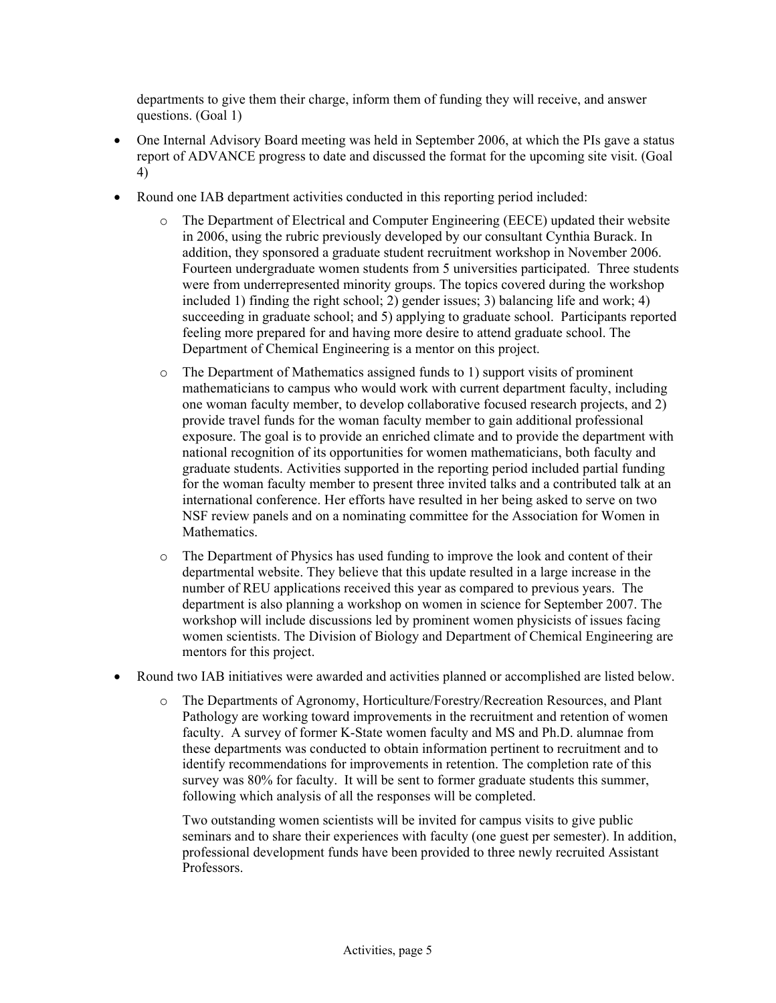departments to give them their charge, inform them of funding they will receive, and answer questions. (Goal 1)

- One Internal Advisory Board meeting was held in September 2006, at which the PIs gave a status report of ADVANCE progress to date and discussed the format for the upcoming site visit. (Goal 4)
- Round one IAB department activities conducted in this reporting period included:
	- o The Department of Electrical and Computer Engineering (EECE) updated their website in 2006, using the rubric previously developed by our consultant Cynthia Burack. In addition, they sponsored a graduate student recruitment workshop in November 2006. Fourteen undergraduate women students from 5 universities participated. Three students were from underrepresented minority groups. The topics covered during the workshop included 1) finding the right school; 2) gender issues; 3) balancing life and work; 4) succeeding in graduate school; and 5) applying to graduate school. Participants reported feeling more prepared for and having more desire to attend graduate school. The Department of Chemical Engineering is a mentor on this project.
	- o The Department of Mathematics assigned funds to 1) support visits of prominent mathematicians to campus who would work with current department faculty, including one woman faculty member, to develop collaborative focused research projects, and 2) provide travel funds for the woman faculty member to gain additional professional exposure. The goal is to provide an enriched climate and to provide the department with national recognition of its opportunities for women mathematicians, both faculty and graduate students. Activities supported in the reporting period included partial funding for the woman faculty member to present three invited talks and a contributed talk at an international conference. Her efforts have resulted in her being asked to serve on two NSF review panels and on a nominating committee for the Association for Women in **Mathematics**
	- o The Department of Physics has used funding to improve the look and content of their departmental website. They believe that this update resulted in a large increase in the number of REU applications received this year as compared to previous years. The department is also planning a workshop on women in science for September 2007. The workshop will include discussions led by prominent women physicists of issues facing women scientists. The Division of Biology and Department of Chemical Engineering are mentors for this project.
- Round two IAB initiatives were awarded and activities planned or accomplished are listed below.
	- o The Departments of Agronomy, Horticulture/Forestry/Recreation Resources, and Plant Pathology are working toward improvements in the recruitment and retention of women faculty. A survey of former K-State women faculty and MS and Ph.D. alumnae from these departments was conducted to obtain information pertinent to recruitment and to identify recommendations for improvements in retention. The completion rate of this survey was 80% for faculty. It will be sent to former graduate students this summer, following which analysis of all the responses will be completed.

Two outstanding women scientists will be invited for campus visits to give public seminars and to share their experiences with faculty (one guest per semester). In addition, professional development funds have been provided to three newly recruited Assistant Professors.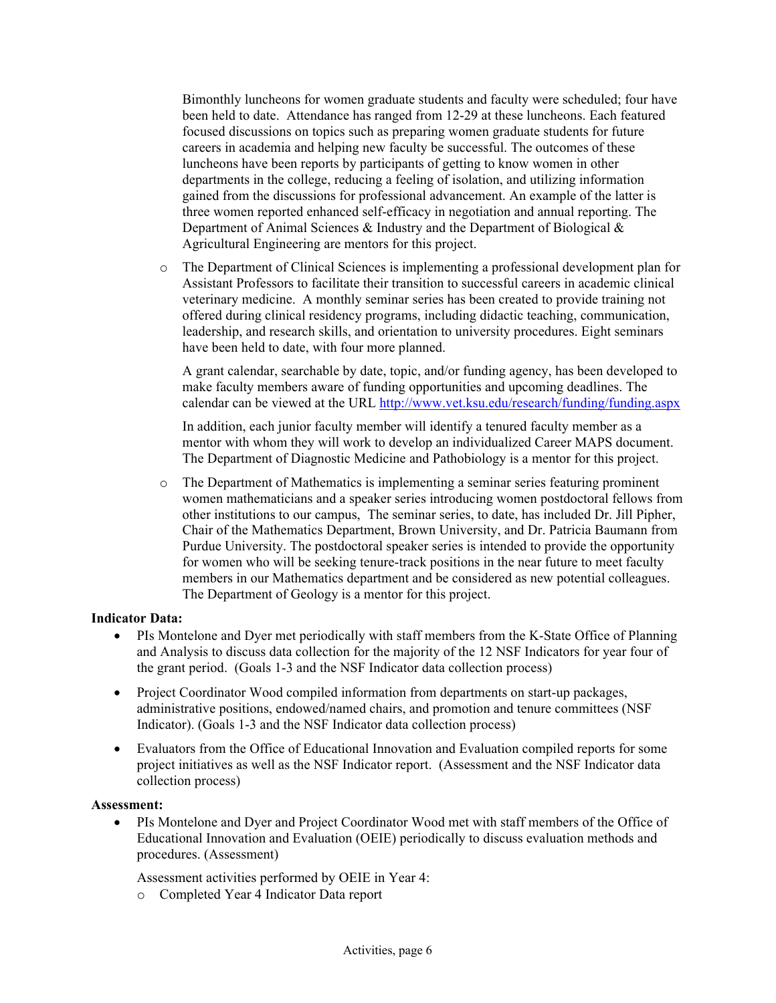Bimonthly luncheons for women graduate students and faculty were scheduled; four have been held to date. Attendance has ranged from 12-29 at these luncheons. Each featured focused discussions on topics such as preparing women graduate students for future careers in academia and helping new faculty be successful. The outcomes of these luncheons have been reports by participants of getting to know women in other departments in the college, reducing a feeling of isolation, and utilizing information gained from the discussions for professional advancement. An example of the latter is three women reported enhanced self-efficacy in negotiation and annual reporting. The Department of Animal Sciences & Industry and the Department of Biological & Agricultural Engineering are mentors for this project.

o The Department of Clinical Sciences is implementing a professional development plan for Assistant Professors to facilitate their transition to successful careers in academic clinical veterinary medicine. A monthly seminar series has been created to provide training not offered during clinical residency programs, including didactic teaching, communication, leadership, and research skills, and orientation to university procedures. Eight seminars have been held to date, with four more planned.

A grant calendar, searchable by date, topic, and/or funding agency, has been developed to make faculty members aware of funding opportunities and upcoming deadlines. The calendar can be viewed at the URL <http://www.vet.ksu.edu/research/funding/funding.aspx>

In addition, each junior faculty member will identify a tenured faculty member as a mentor with whom they will work to develop an individualized Career MAPS document. The Department of Diagnostic Medicine and Pathobiology is a mentor for this project.

o The Department of Mathematics is implementing a seminar series featuring prominent women mathematicians and a speaker series introducing women postdoctoral fellows from other institutions to our campus, The seminar series, to date, has included Dr. Jill Pipher, Chair of the Mathematics Department, Brown University, and Dr. Patricia Baumann from Purdue University. The postdoctoral speaker series is intended to provide the opportunity for women who will be seeking tenure-track positions in the near future to meet faculty members in our Mathematics department and be considered as new potential colleagues. The Department of Geology is a mentor for this project.

### **Indicator Data:**

- PIs Montelone and Dyer met periodically with staff members from the K-State Office of Planning and Analysis to discuss data collection for the majority of the 12 NSF Indicators for year four of the grant period. (Goals 1-3 and the NSF Indicator data collection process)
- Project Coordinator Wood compiled information from departments on start-up packages, administrative positions, endowed/named chairs, and promotion and tenure committees (NSF Indicator). (Goals 1-3 and the NSF Indicator data collection process)
- Evaluators from the Office of Educational Innovation and Evaluation compiled reports for some project initiatives as well as the NSF Indicator report. (Assessment and the NSF Indicator data collection process)

### **Assessment:**

• PIs Montelone and Dyer and Project Coordinator Wood met with staff members of the Office of Educational Innovation and Evaluation (OEIE) periodically to discuss evaluation methods and procedures. (Assessment)

Assessment activities performed by OEIE in Year 4:

o Completed Year 4 Indicator Data report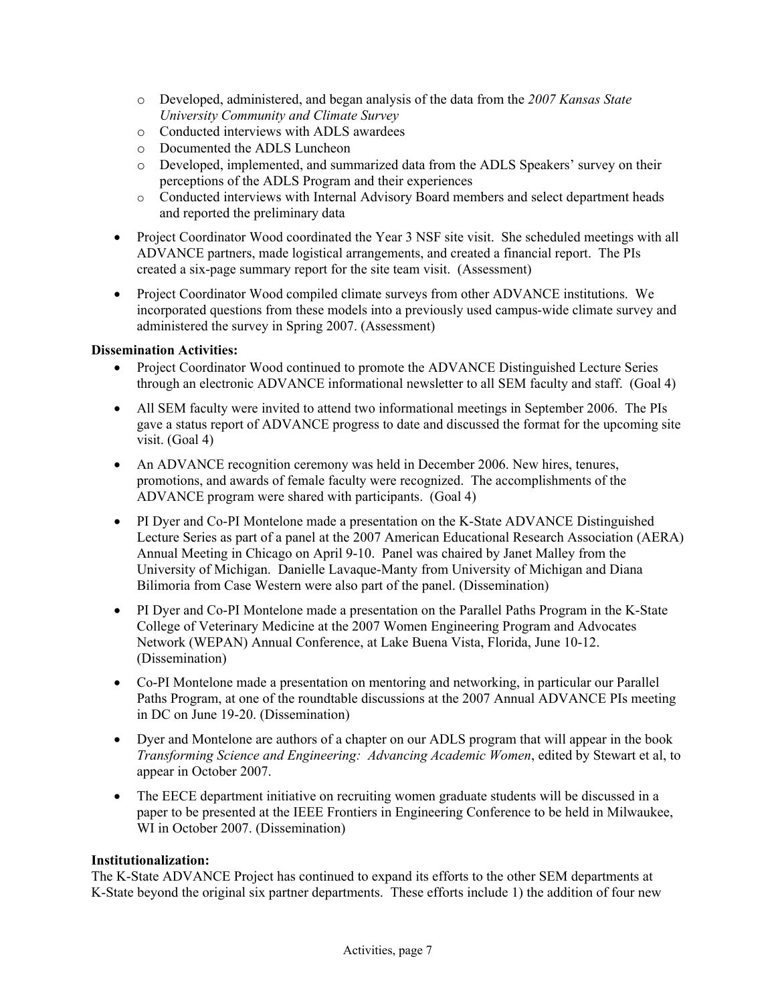- o Developed, administered, and began analysis of the data from the *2007 Kansas State University Community and Climate Survey*
- o Conducted interviews with ADLS awardees
- o Documented the ADLS Luncheon
- o Developed, implemented, and summarized data from the ADLS Speakers' survey on their perceptions of the ADLS Program and their experiences
- o Conducted interviews with Internal Advisory Board members and select department heads and reported the preliminary data
- Project Coordinator Wood coordinated the Year 3 NSF site visit. She scheduled meetings with all ADVANCE partners, made logistical arrangements, and created a financial report. The PIs created a six-page summary report for the site team visit. (Assessment)
- Project Coordinator Wood compiled climate surveys from other ADVANCE institutions. We incorporated questions from these models into a previously used campus-wide climate survey and administered the survey in Spring 2007. (Assessment)

### **Dissemination Activities:**

- Project Coordinator Wood continued to promote the ADVANCE Distinguished Lecture Series through an electronic ADVANCE informational newsletter to all SEM faculty and staff. (Goal 4)
- All SEM faculty were invited to attend two informational meetings in September 2006. The PIs gave a status report of ADVANCE progress to date and discussed the format for the upcoming site visit. (Goal 4)
- An ADVANCE recognition ceremony was held in December 2006. New hires, tenures, promotions, and awards of female faculty were recognized. The accomplishments of the ADVANCE program were shared with participants. (Goal 4)
- PI Dyer and Co-PI Montelone made a presentation on the K-State ADVANCE Distinguished Lecture Series as part of a panel at the 2007 American Educational Research Association (AERA) Annual Meeting in Chicago on April 9-10. Panel was chaired by Janet Malley from the University of Michigan. Danielle Lavaque-Manty from University of Michigan and Diana Bilimoria from Case Western were also part of the panel. (Dissemination)
- PI Dyer and Co-PI Montelone made a presentation on the Parallel Paths Program in the K-State College of Veterinary Medicine at the 2007 Women Engineering Program and Advocates Network (WEPAN) Annual Conference, at Lake Buena Vista, Florida, June 10-12. (Dissemination)
- Co-PI Montelone made a presentation on mentoring and networking, in particular our Parallel Paths Program, at one of the roundtable discussions at the 2007 Annual ADVANCE PIs meeting in DC on June 19-20. (Dissemination)
- Dyer and Montelone are authors of a chapter on our ADLS program that will appear in the book *Transforming Science and Engineering: Advancing Academic Women*, edited by Stewart et al, to appear in October 2007.
- The EECE department initiative on recruiting women graduate students will be discussed in a paper to be presented at the IEEE Frontiers in Engineering Conference to be held in Milwaukee, WI in October 2007. (Dissemination)

### **Institutionalization:**

The K-State ADVANCE Project has continued to expand its efforts to the other SEM departments at K-State beyond the original six partner departments. These efforts include 1) the addition of four new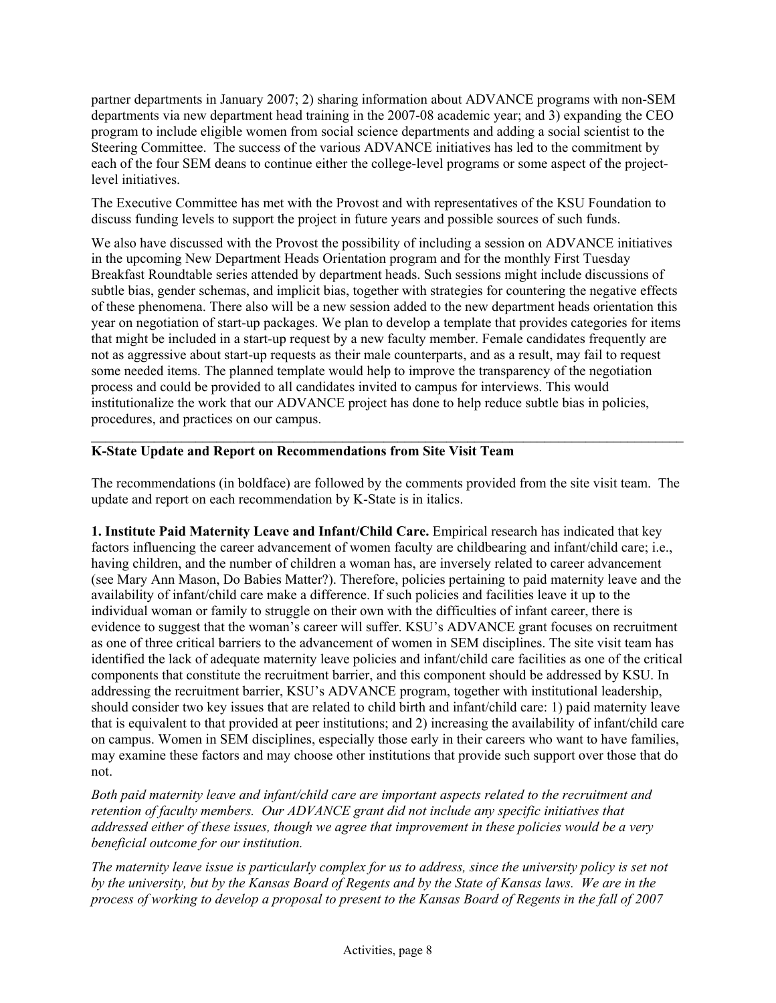partner departments in January 2007; 2) sharing information about ADVANCE programs with non-SEM departments via new department head training in the 2007-08 academic year; and 3) expanding the CEO program to include eligible women from social science departments and adding a social scientist to the Steering Committee. The success of the various ADVANCE initiatives has led to the commitment by each of the four SEM deans to continue either the college-level programs or some aspect of the projectlevel initiatives.

The Executive Committee has met with the Provost and with representatives of the KSU Foundation to discuss funding levels to support the project in future years and possible sources of such funds.

We also have discussed with the Provost the possibility of including a session on ADVANCE initiatives in the upcoming New Department Heads Orientation program and for the monthly First Tuesday Breakfast Roundtable series attended by department heads. Such sessions might include discussions of subtle bias, gender schemas, and implicit bias, together with strategies for countering the negative effects of these phenomena. There also will be a new session added to the new department heads orientation this year on negotiation of start-up packages. We plan to develop a template that provides categories for items that might be included in a start-up request by a new faculty member. Female candidates frequently are not as aggressive about start-up requests as their male counterparts, and as a result, may fail to request some needed items. The planned template would help to improve the transparency of the negotiation process and could be provided to all candidates invited to campus for interviews. This would institutionalize the work that our ADVANCE project has done to help reduce subtle bias in policies, procedures, and practices on our campus.

### **K-State Update and Report on Recommendations from Site Visit Team**

The recommendations (in boldface) are followed by the comments provided from the site visit team. The update and report on each recommendation by K-State is in italics.

 $\mathcal{L}_\text{max} = \mathcal{L}_\text{max} = \mathcal{L}_\text{max} = \mathcal{L}_\text{max} = \mathcal{L}_\text{max} = \mathcal{L}_\text{max} = \mathcal{L}_\text{max} = \mathcal{L}_\text{max} = \mathcal{L}_\text{max} = \mathcal{L}_\text{max} = \mathcal{L}_\text{max} = \mathcal{L}_\text{max} = \mathcal{L}_\text{max} = \mathcal{L}_\text{max} = \mathcal{L}_\text{max} = \mathcal{L}_\text{max} = \mathcal{L}_\text{max} = \mathcal{L}_\text{max} = \mathcal{$ 

**1. Institute Paid Maternity Leave and Infant/Child Care.** Empirical research has indicated that key factors influencing the career advancement of women faculty are childbearing and infant/child care; i.e., having children, and the number of children a woman has, are inversely related to career advancement (see Mary Ann Mason, Do Babies Matter?). Therefore, policies pertaining to paid maternity leave and the availability of infant/child care make a difference. If such policies and facilities leave it up to the individual woman or family to struggle on their own with the difficulties of infant career, there is evidence to suggest that the woman's career will suffer. KSU's ADVANCE grant focuses on recruitment as one of three critical barriers to the advancement of women in SEM disciplines. The site visit team has identified the lack of adequate maternity leave policies and infant/child care facilities as one of the critical components that constitute the recruitment barrier, and this component should be addressed by KSU. In addressing the recruitment barrier, KSU's ADVANCE program, together with institutional leadership, should consider two key issues that are related to child birth and infant/child care: 1) paid maternity leave that is equivalent to that provided at peer institutions; and 2) increasing the availability of infant/child care on campus. Women in SEM disciplines, especially those early in their careers who want to have families, may examine these factors and may choose other institutions that provide such support over those that do not.

*Both paid maternity leave and infant/child care are important aspects related to the recruitment and retention of faculty members. Our ADVANCE grant did not include any specific initiatives that addressed either of these issues, though we agree that improvement in these policies would be a very beneficial outcome for our institution.* 

*The maternity leave issue is particularly complex for us to address, since the university policy is set not by the university, but by the Kansas Board of Regents and by the State of Kansas laws. We are in the process of working to develop a proposal to present to the Kansas Board of Regents in the fall of 2007*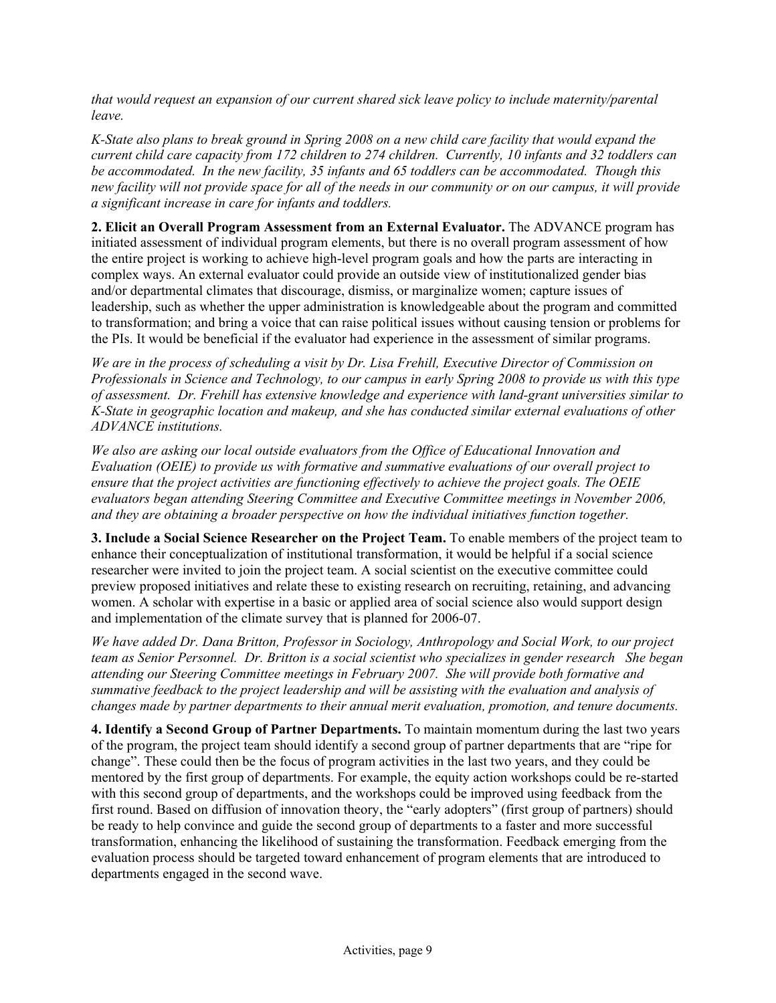*that would request an expansion of our current shared sick leave policy to include maternity/parental leave.* 

*K-State also plans to break ground in Spring 2008 on a new child care facility that would expand the current child care capacity from 172 children to 274 children. Currently, 10 infants and 32 toddlers can be accommodated. In the new facility, 35 infants and 65 toddlers can be accommodated. Though this new facility will not provide space for all of the needs in our community or on our campus, it will provide a significant increase in care for infants and toddlers.* 

**2. Elicit an Overall Program Assessment from an External Evaluator.** The ADVANCE program has initiated assessment of individual program elements, but there is no overall program assessment of how the entire project is working to achieve high-level program goals and how the parts are interacting in complex ways. An external evaluator could provide an outside view of institutionalized gender bias and/or departmental climates that discourage, dismiss, or marginalize women; capture issues of leadership, such as whether the upper administration is knowledgeable about the program and committed to transformation; and bring a voice that can raise political issues without causing tension or problems for the PIs. It would be beneficial if the evaluator had experience in the assessment of similar programs.

*We are in the process of scheduling a visit by Dr. Lisa Frehill, Executive Director of Commission on Professionals in Science and Technology, to our campus in early Spring 2008 to provide us with this type of assessment. Dr. Frehill has extensive knowledge and experience with land-grant universities similar to K-State in geographic location and makeup, and she has conducted similar external evaluations of other ADVANCE institutions.* 

*We also are asking our local outside evaluators from the Office of Educational Innovation and Evaluation (OEIE) to provide us with formative and summative evaluations of our overall project to ensure that the project activities are functioning effectively to achieve the project goals. The OEIE evaluators began attending Steering Committee and Executive Committee meetings in November 2006, and they are obtaining a broader perspective on how the individual initiatives function together.* 

**3. Include a Social Science Researcher on the Project Team.** To enable members of the project team to enhance their conceptualization of institutional transformation, it would be helpful if a social science researcher were invited to join the project team. A social scientist on the executive committee could preview proposed initiatives and relate these to existing research on recruiting, retaining, and advancing women. A scholar with expertise in a basic or applied area of social science also would support design and implementation of the climate survey that is planned for 2006-07.

*We have added Dr. Dana Britton, Professor in Sociology, Anthropology and Social Work, to our project team as Senior Personnel. Dr. Britton is a social scientist who specializes in gender research She began attending our Steering Committee meetings in February 2007. She will provide both formative and summative feedback to the project leadership and will be assisting with the evaluation and analysis of changes made by partner departments to their annual merit evaluation, promotion, and tenure documents.*

**4. Identify a Second Group of Partner Departments.** To maintain momentum during the last two years of the program, the project team should identify a second group of partner departments that are "ripe for change". These could then be the focus of program activities in the last two years, and they could be mentored by the first group of departments. For example, the equity action workshops could be re-started with this second group of departments, and the workshops could be improved using feedback from the first round. Based on diffusion of innovation theory, the "early adopters" (first group of partners) should be ready to help convince and guide the second group of departments to a faster and more successful transformation, enhancing the likelihood of sustaining the transformation. Feedback emerging from the evaluation process should be targeted toward enhancement of program elements that are introduced to departments engaged in the second wave.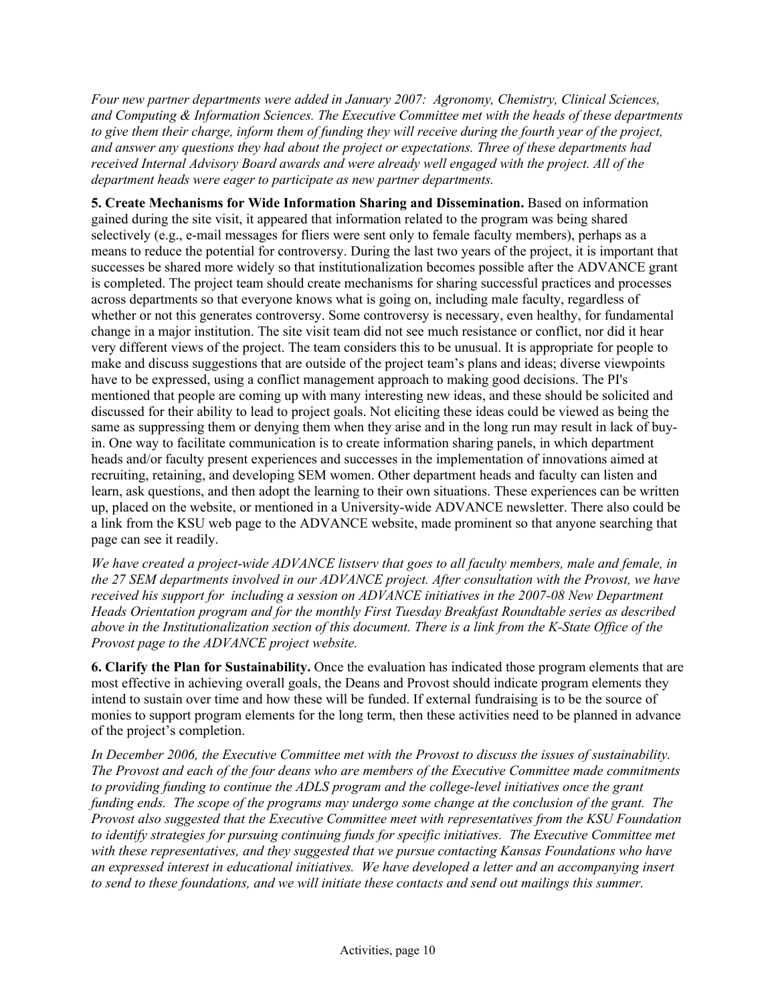*Four new partner departments were added in January 2007: Agronomy, Chemistry, Clinical Sciences, and Computing & Information Sciences. The Executive Committee met with the heads of these departments to give them their charge, inform them of funding they will receive during the fourth year of the project, and answer any questions they had about the project or expectations. Three of these departments had received Internal Advisory Board awards and were already well engaged with the project. All of the department heads were eager to participate as new partner departments.* 

**5. Create Mechanisms for Wide Information Sharing and Dissemination.** Based on information gained during the site visit, it appeared that information related to the program was being shared selectively (e.g., e-mail messages for fliers were sent only to female faculty members), perhaps as a means to reduce the potential for controversy. During the last two years of the project, it is important that successes be shared more widely so that institutionalization becomes possible after the ADVANCE grant is completed. The project team should create mechanisms for sharing successful practices and processes across departments so that everyone knows what is going on, including male faculty, regardless of whether or not this generates controversy. Some controversy is necessary, even healthy, for fundamental change in a major institution. The site visit team did not see much resistance or conflict, nor did it hear very different views of the project. The team considers this to be unusual. It is appropriate for people to make and discuss suggestions that are outside of the project team's plans and ideas; diverse viewpoints have to be expressed, using a conflict management approach to making good decisions. The PI's mentioned that people are coming up with many interesting new ideas, and these should be solicited and discussed for their ability to lead to project goals. Not eliciting these ideas could be viewed as being the same as suppressing them or denying them when they arise and in the long run may result in lack of buyin. One way to facilitate communication is to create information sharing panels, in which department heads and/or faculty present experiences and successes in the implementation of innovations aimed at recruiting, retaining, and developing SEM women. Other department heads and faculty can listen and learn, ask questions, and then adopt the learning to their own situations. These experiences can be written up, placed on the website, or mentioned in a University-wide ADVANCE newsletter. There also could be a link from the KSU web page to the ADVANCE website, made prominent so that anyone searching that page can see it readily.

*We have created a project-wide ADVANCE listserv that goes to all faculty members, male and female, in the 27 SEM departments involved in our ADVANCE project. After consultation with the Provost, we have received his support for including a session on ADVANCE initiatives in the 2007-08 New Department Heads Orientation program and for the monthly First Tuesday Breakfast Roundtable series as described above in the Institutionalization section of this document. There is a link from the K-State Office of the Provost page to the ADVANCE project website.* 

**6. Clarify the Plan for Sustainability.** Once the evaluation has indicated those program elements that are most effective in achieving overall goals, the Deans and Provost should indicate program elements they intend to sustain over time and how these will be funded. If external fundraising is to be the source of monies to support program elements for the long term, then these activities need to be planned in advance of the project's completion.

*In December 2006, the Executive Committee met with the Provost to discuss the issues of sustainability. The Provost and each of the four deans who are members of the Executive Committee made commitments to providing funding to continue the ADLS program and the college-level initiatives once the grant funding ends. The scope of the programs may undergo some change at the conclusion of the grant. The Provost also suggested that the Executive Committee meet with representatives from the KSU Foundation to identify strategies for pursuing continuing funds for specific initiatives. The Executive Committee met with these representatives, and they suggested that we pursue contacting Kansas Foundations who have an expressed interest in educational initiatives. We have developed a letter and an accompanying insert to send to these foundations, and we will initiate these contacts and send out mailings this summer.*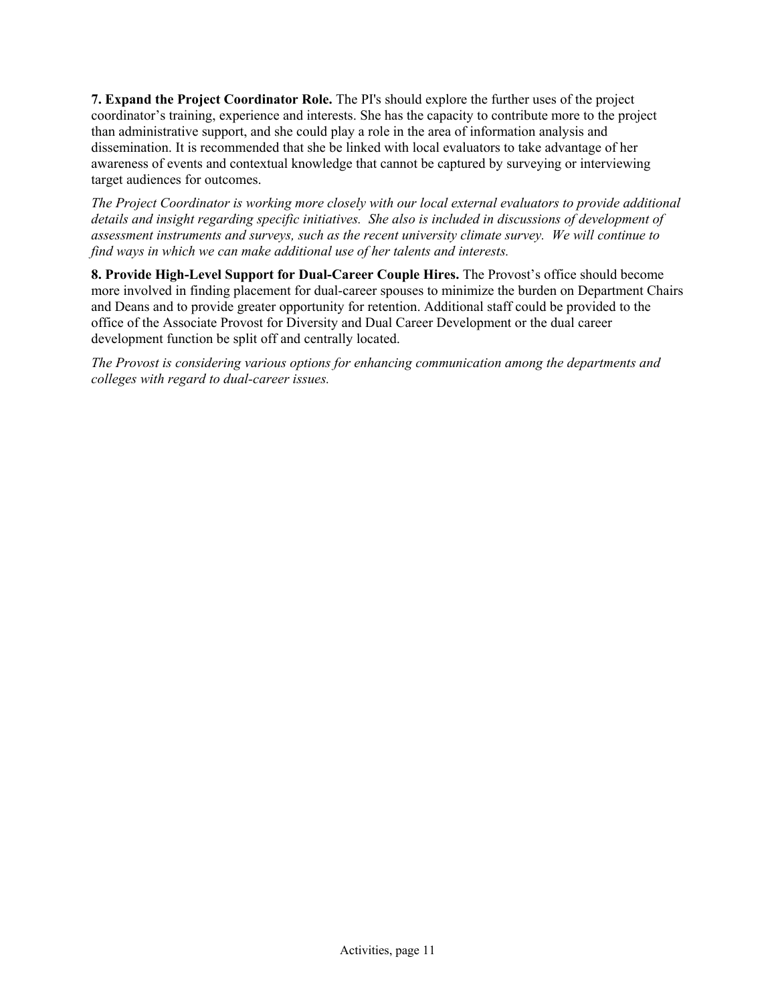**7. Expand the Project Coordinator Role.** The PI's should explore the further uses of the project coordinator's training, experience and interests. She has the capacity to contribute more to the project than administrative support, and she could play a role in the area of information analysis and dissemination. It is recommended that she be linked with local evaluators to take advantage of her awareness of events and contextual knowledge that cannot be captured by surveying or interviewing target audiences for outcomes.

*The Project Coordinator is working more closely with our local external evaluators to provide additional details and insight regarding specific initiatives. She also is included in discussions of development of assessment instruments and surveys, such as the recent university climate survey. We will continue to find ways in which we can make additional use of her talents and interests.* 

**8. Provide High-Level Support for Dual-Career Couple Hires.** The Provost's office should become more involved in finding placement for dual-career spouses to minimize the burden on Department Chairs and Deans and to provide greater opportunity for retention. Additional staff could be provided to the office of the Associate Provost for Diversity and Dual Career Development or the dual career development function be split off and centrally located.

*The Provost is considering various options for enhancing communication among the departments and colleges with regard to dual-career issues.*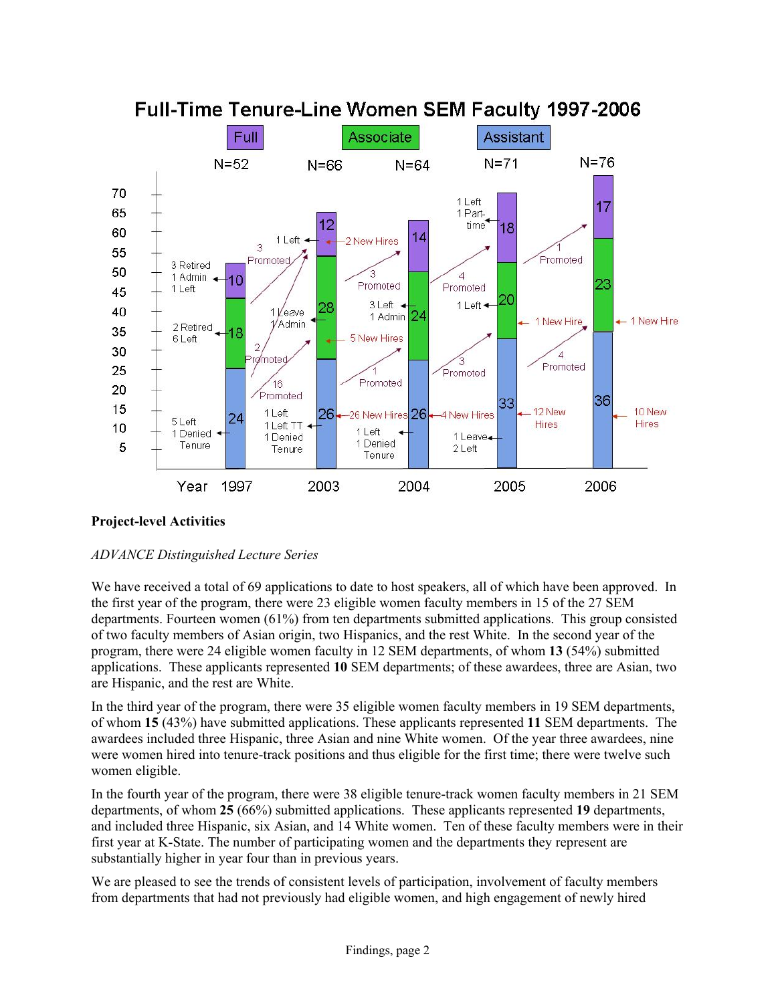

## **Project-level Activities**

## *ADVANCE Distinguished Lecture Series*

We have received a total of 69 applications to date to host speakers, all of which have been approved. In the first year of the program, there were 23 eligible women faculty members in 15 of the 27 SEM departments. Fourteen women (61%) from ten departments submitted applications. This group consisted of two faculty members of Asian origin, two Hispanics, and the rest White. In the second year of the program, there were 24 eligible women faculty in 12 SEM departments, of whom **13** (54%) submitted applications. These applicants represented **10** SEM departments; of these awardees, three are Asian, two are Hispanic, and the rest are White.

In the third year of the program, there were 35 eligible women faculty members in 19 SEM departments, of whom **15** (43%) have submitted applications. These applicants represented **11** SEM departments. The awardees included three Hispanic, three Asian and nine White women. Of the year three awardees, nine were women hired into tenure-track positions and thus eligible for the first time; there were twelve such women eligible.

In the fourth year of the program, there were 38 eligible tenure-track women faculty members in 21 SEM departments, of whom **25** (66%) submitted applications. These applicants represented **19** departments, and included three Hispanic, six Asian, and 14 White women. Ten of these faculty members were in their first year at K-State. The number of participating women and the departments they represent are substantially higher in year four than in previous years.

We are pleased to see the trends of consistent levels of participation, involvement of faculty members from departments that had not previously had eligible women, and high engagement of newly hired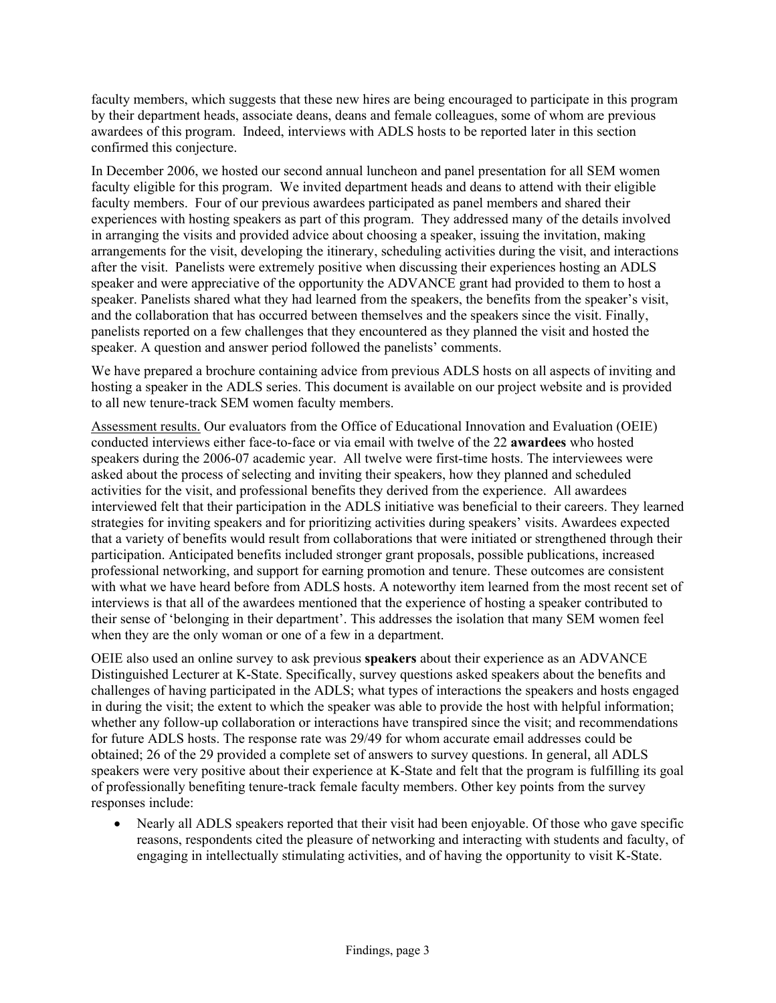faculty members, which suggests that these new hires are being encouraged to participate in this program by their department heads, associate deans, deans and female colleagues, some of whom are previous awardees of this program. Indeed, interviews with ADLS hosts to be reported later in this section confirmed this conjecture.

In December 2006, we hosted our second annual luncheon and panel presentation for all SEM women faculty eligible for this program. We invited department heads and deans to attend with their eligible faculty members. Four of our previous awardees participated as panel members and shared their experiences with hosting speakers as part of this program. They addressed many of the details involved in arranging the visits and provided advice about choosing a speaker, issuing the invitation, making arrangements for the visit, developing the itinerary, scheduling activities during the visit, and interactions after the visit. Panelists were extremely positive when discussing their experiences hosting an ADLS speaker and were appreciative of the opportunity the ADVANCE grant had provided to them to host a speaker. Panelists shared what they had learned from the speakers, the benefits from the speaker's visit, and the collaboration that has occurred between themselves and the speakers since the visit. Finally, panelists reported on a few challenges that they encountered as they planned the visit and hosted the speaker. A question and answer period followed the panelists' comments.

We have prepared a brochure containing advice from previous ADLS hosts on all aspects of inviting and hosting a speaker in the ADLS series. This document is available on our project website and is provided to all new tenure-track SEM women faculty members.

Assessment results. Our evaluators from the Office of Educational Innovation and Evaluation (OEIE) conducted interviews either face-to-face or via email with twelve of the 22 **awardees** who hosted speakers during the 2006-07 academic year. All twelve were first-time hosts. The interviewees were asked about the process of selecting and inviting their speakers, how they planned and scheduled activities for the visit, and professional benefits they derived from the experience. All awardees interviewed felt that their participation in the ADLS initiative was beneficial to their careers. They learned strategies for inviting speakers and for prioritizing activities during speakers' visits. Awardees expected that a variety of benefits would result from collaborations that were initiated or strengthened through their participation. Anticipated benefits included stronger grant proposals, possible publications, increased professional networking, and support for earning promotion and tenure. These outcomes are consistent with what we have heard before from ADLS hosts. A noteworthy item learned from the most recent set of interviews is that all of the awardees mentioned that the experience of hosting a speaker contributed to their sense of 'belonging in their department'. This addresses the isolation that many SEM women feel when they are the only woman or one of a few in a department.

OEIE also used an online survey to ask previous **speakers** about their experience as an ADVANCE Distinguished Lecturer at K-State. Specifically, survey questions asked speakers about the benefits and challenges of having participated in the ADLS; what types of interactions the speakers and hosts engaged in during the visit; the extent to which the speaker was able to provide the host with helpful information; whether any follow-up collaboration or interactions have transpired since the visit; and recommendations for future ADLS hosts. The response rate was 29/49 for whom accurate email addresses could be obtained; 26 of the 29 provided a complete set of answers to survey questions. In general, all ADLS speakers were very positive about their experience at K-State and felt that the program is fulfilling its goal of professionally benefiting tenure-track female faculty members. Other key points from the survey responses include:

• Nearly all ADLS speakers reported that their visit had been enjoyable. Of those who gave specific reasons, respondents cited the pleasure of networking and interacting with students and faculty, of engaging in intellectually stimulating activities, and of having the opportunity to visit K-State.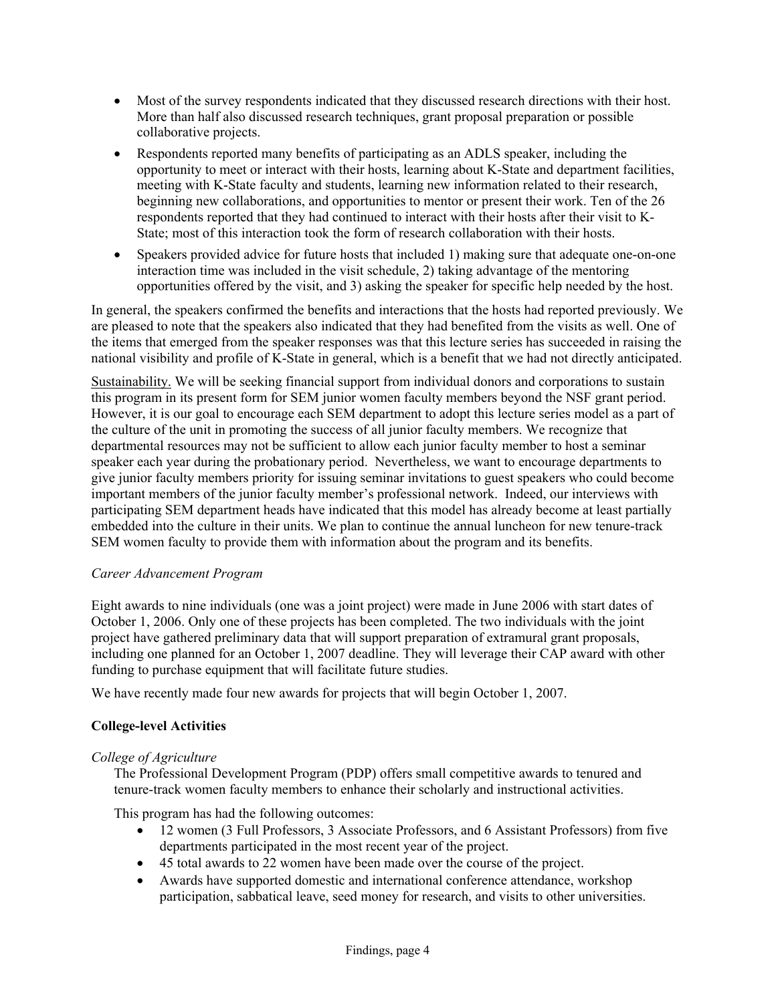- Most of the survey respondents indicated that they discussed research directions with their host. More than half also discussed research techniques, grant proposal preparation or possible collaborative projects.
- Respondents reported many benefits of participating as an ADLS speaker, including the opportunity to meet or interact with their hosts, learning about K-State and department facilities, meeting with K-State faculty and students, learning new information related to their research, beginning new collaborations, and opportunities to mentor or present their work. Ten of the 26 respondents reported that they had continued to interact with their hosts after their visit to K-State; most of this interaction took the form of research collaboration with their hosts.
- Speakers provided advice for future hosts that included 1) making sure that adequate one-on-one interaction time was included in the visit schedule, 2) taking advantage of the mentoring opportunities offered by the visit, and 3) asking the speaker for specific help needed by the host.

In general, the speakers confirmed the benefits and interactions that the hosts had reported previously. We are pleased to note that the speakers also indicated that they had benefited from the visits as well. One of the items that emerged from the speaker responses was that this lecture series has succeeded in raising the national visibility and profile of K-State in general, which is a benefit that we had not directly anticipated.

Sustainability. We will be seeking financial support from individual donors and corporations to sustain this program in its present form for SEM junior women faculty members beyond the NSF grant period. However, it is our goal to encourage each SEM department to adopt this lecture series model as a part of the culture of the unit in promoting the success of all junior faculty members. We recognize that departmental resources may not be sufficient to allow each junior faculty member to host a seminar speaker each year during the probationary period. Nevertheless, we want to encourage departments to give junior faculty members priority for issuing seminar invitations to guest speakers who could become important members of the junior faculty member's professional network. Indeed, our interviews with participating SEM department heads have indicated that this model has already become at least partially embedded into the culture in their units. We plan to continue the annual luncheon for new tenure-track SEM women faculty to provide them with information about the program and its benefits.

### *Career Advancement Program*

Eight awards to nine individuals (one was a joint project) were made in June 2006 with start dates of October 1, 2006. Only one of these projects has been completed. The two individuals with the joint project have gathered preliminary data that will support preparation of extramural grant proposals, including one planned for an October 1, 2007 deadline. They will leverage their CAP award with other funding to purchase equipment that will facilitate future studies.

We have recently made four new awards for projects that will begin October 1, 2007.

## **College-level Activities**

### *College of Agriculture*

The Professional Development Program (PDP) offers small competitive awards to tenured and tenure-track women faculty members to enhance their scholarly and instructional activities.

This program has had the following outcomes:

- 12 women (3 Full Professors, 3 Associate Professors, and 6 Assistant Professors) from five departments participated in the most recent year of the project.
- 45 total awards to 22 women have been made over the course of the project.
- Awards have supported domestic and international conference attendance, workshop participation, sabbatical leave, seed money for research, and visits to other universities.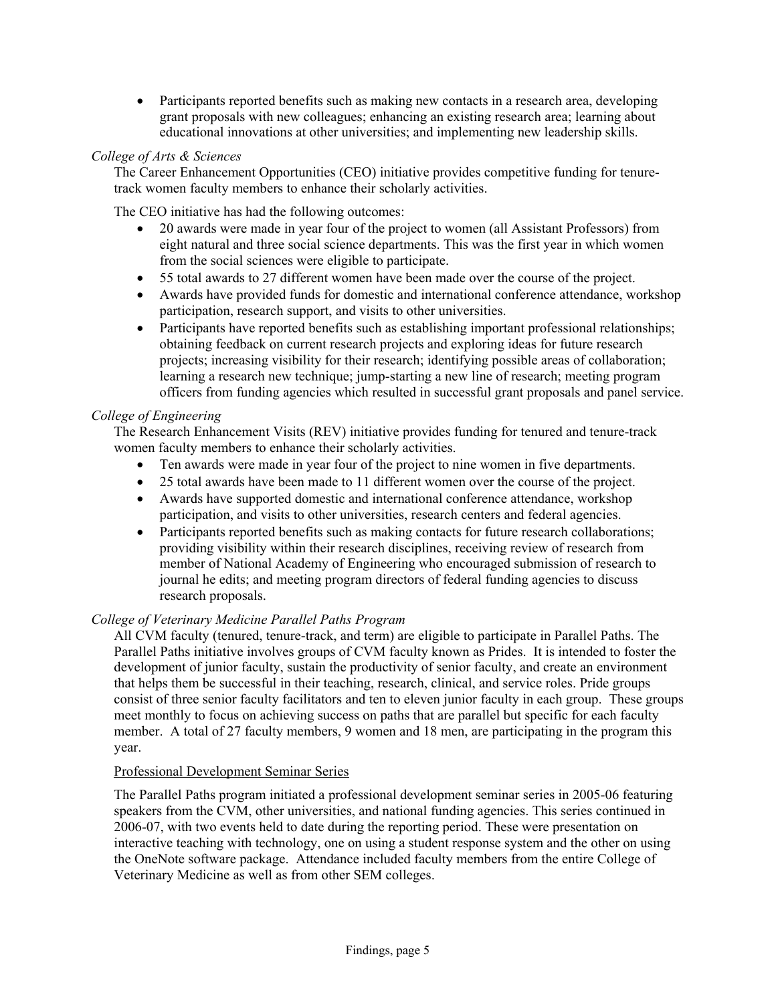• Participants reported benefits such as making new contacts in a research area, developing grant proposals with new colleagues; enhancing an existing research area; learning about educational innovations at other universities; and implementing new leadership skills.

### *College of Arts & Sciences*

The Career Enhancement Opportunities (CEO) initiative provides competitive funding for tenuretrack women faculty members to enhance their scholarly activities.

The CEO initiative has had the following outcomes:

- 20 awards were made in year four of the project to women (all Assistant Professors) from eight natural and three social science departments. This was the first year in which women from the social sciences were eligible to participate.
- 55 total awards to 27 different women have been made over the course of the project.
- Awards have provided funds for domestic and international conference attendance, workshop participation, research support, and visits to other universities.
- Participants have reported benefits such as establishing important professional relationships; obtaining feedback on current research projects and exploring ideas for future research projects; increasing visibility for their research; identifying possible areas of collaboration; learning a research new technique; jump-starting a new line of research; meeting program officers from funding agencies which resulted in successful grant proposals and panel service.

### *College of Engineering*

The Research Enhancement Visits (REV) initiative provides funding for tenured and tenure-track women faculty members to enhance their scholarly activities.

- Ten awards were made in year four of the project to nine women in five departments.
- 25 total awards have been made to 11 different women over the course of the project.
- Awards have supported domestic and international conference attendance, workshop participation, and visits to other universities, research centers and federal agencies.
- Participants reported benefits such as making contacts for future research collaborations; providing visibility within their research disciplines, receiving review of research from member of National Academy of Engineering who encouraged submission of research to journal he edits; and meeting program directors of federal funding agencies to discuss research proposals.

### *College of Veterinary Medicine Parallel Paths Program*

All CVM faculty (tenured, tenure-track, and term) are eligible to participate in Parallel Paths. The Parallel Paths initiative involves groups of CVM faculty known as Prides. It is intended to foster the development of junior faculty, sustain the productivity of senior faculty, and create an environment that helps them be successful in their teaching, research, clinical, and service roles. Pride groups consist of three senior faculty facilitators and ten to eleven junior faculty in each group. These groups meet monthly to focus on achieving success on paths that are parallel but specific for each faculty member. A total of 27 faculty members, 9 women and 18 men, are participating in the program this year.

### Professional Development Seminar Series

The Parallel Paths program initiated a professional development seminar series in 2005-06 featuring speakers from the CVM, other universities, and national funding agencies. This series continued in 2006-07, with two events held to date during the reporting period. These were presentation on interactive teaching with technology, one on using a student response system and the other on using the OneNote software package. Attendance included faculty members from the entire College of Veterinary Medicine as well as from other SEM colleges.